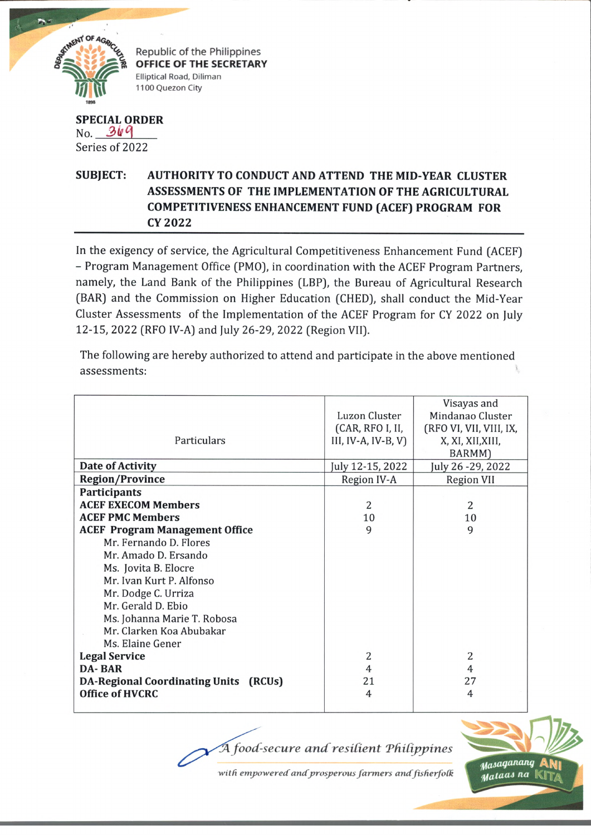

Republic of the Philippines OFFICE OF THE SECRETARY Elliptical Road, Diliman 1100 Quezon City

## **SPECIAL ORDER**  $No. 369$ Series of 2022

## **SUBJECT:** AUTHORITY TO CONDUCT AND ATTEND THE MID-YEAR CLUSTER ASSESSMENTS OF THE IMPLEMENTATION OF THE AGRICULTURAL **COMPETITIVENESS ENHANCEMENT FUND (ACEF) PROGRAM FOR CY 2022**

In the exigency of service, the Agricultural Competitiveness Enhancement Fund (ACEF) - Program Management Office (PMO), in coordination with the ACEF Program Partners, namely, the Land Bank of the Philippines (LBP), the Bureau of Agricultural Research (BAR) and the Commission on Higher Education (CHED), shall conduct the Mid-Year Cluster Assessments of the Implementation of the ACEF Program for CY 2022 on July 12-15, 2022 (RFO IV-A) and July 26-29, 2022 (Region VII).

The following are hereby authorized to attend and participate in the above mentioned assessments:

|                                              |                      | Visayas and             |
|----------------------------------------------|----------------------|-------------------------|
|                                              | <b>Luzon Cluster</b> | Mindanao Cluster        |
|                                              | (CAR, RFO I, II,     | (RFO VI, VII, VIII, IX, |
| Particulars                                  | III, IV-A, IV-B, V)  | X, XI, XII, XIII,       |
|                                              |                      | BARMM)                  |
| Date of Activity                             | July 12-15, 2022     | July 26 - 29, 2022      |
| <b>Region/Province</b>                       | Region IV-A          | <b>Region VII</b>       |
| <b>Participants</b>                          |                      |                         |
| <b>ACEF EXECOM Members</b>                   | $\overline{2}$       | 2                       |
| <b>ACEF PMC Members</b>                      | 10                   | 10                      |
| <b>ACEF Program Management Office</b>        | 9                    | 9                       |
| Mr. Fernando D. Flores                       |                      |                         |
| Mr. Amado D. Ersando                         |                      |                         |
| Ms. Jovita B. Elocre                         |                      |                         |
| Mr. Ivan Kurt P. Alfonso                     |                      |                         |
| Mr. Dodge C. Urriza                          |                      |                         |
| Mr. Gerald D. Ebio                           |                      |                         |
| Ms. Johanna Marie T. Robosa                  |                      |                         |
| Mr. Clarken Koa Abubakar                     |                      |                         |
| Ms. Elaine Gener                             |                      |                         |
| <b>Legal Service</b>                         | 2                    | 2                       |
| <b>DA-BAR</b>                                | $\overline{4}$       | 4                       |
| <b>DA-Regional Coordinating Units (RCUs)</b> | 21                   | 27                      |
| <b>Office of HVCRC</b>                       | $\overline{4}$       | 4                       |
|                                              |                      |                         |

A food-secure and resilient Philippines



with empowered and prosperous farmers and fisherfolk